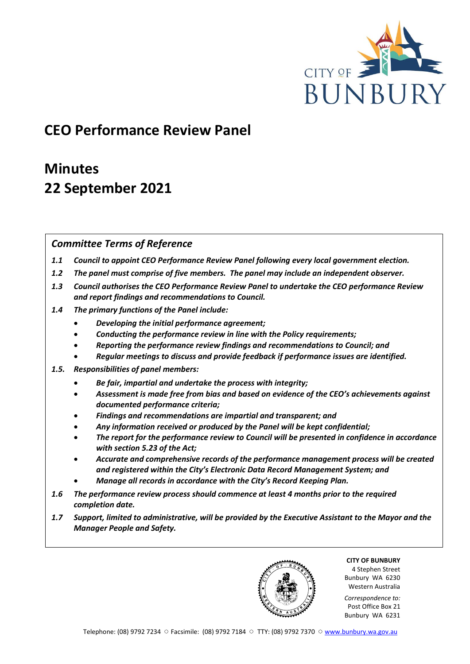

# **CEO Performance Review Panel**

# **Minutes 22 September 2021**

# *Committee Terms of Reference*

- *1.1 Council to appoint CEO Performance Review Panel following every local government election.*
- *1.2 The panel must comprise of five members. The panel may include an independent observer.*
- *1.3 Council authorises the CEO Performance Review Panel to undertake the CEO performance Review and report findings and recommendations to Council.*
- *1.4 The primary functions of the Panel include:*
	- *Developing the initial performance agreement;*
	- *Conducting the performance review in line with the Policy requirements;*
	- *Reporting the performance review findings and recommendations to Council; and*
	- *Regular meetings to discuss and provide feedback if performance issues are identified.*
- *1.5. Responsibilities of panel members:*
	- *Be fair, impartial and undertake the process with integrity;*
	- *Assessment is made free from bias and based on evidence of the CEO's achievements against documented performance criteria;*
	- *Findings and recommendations are impartial and transparent; and*
	- *Any information received or produced by the Panel will be kept confidential;*
	- *The report for the performance review to Council will be presented in confidence in accordance with section 5.23 of the Act;*
	- *Accurate and comprehensive records of the performance management process will be created and registered within the City's Electronic Data Record Management System; and*
	- *Manage all records in accordance with the City's Record Keeping Plan.*
- *1.6 The performance review process should commence at least 4 months prior to the required completion date.*
- *1.7 Support, limited to administrative, will be provided by the Executive Assistant to the Mayor and the Manager People and Safety.*

**CITY OF BUNBURY** 4 Stephen Street Bunbury WA 6230 Western Australia

*Correspondence to:* Post Office Box 21 Bunbury WA 6231

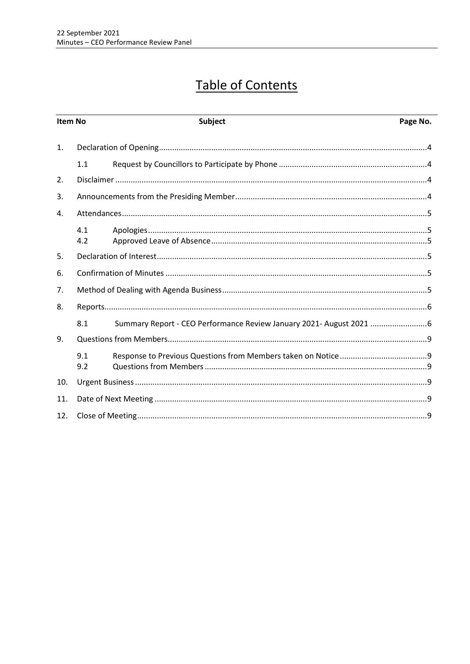# **Table of Contents**

| Item No        |            | Subject | Page No. |
|----------------|------------|---------|----------|
| $\mathbf{1}$ . |            |         |          |
|                | 1.1        |         |          |
| 2.             |            |         |          |
| 3.             |            |         |          |
| 4.             |            |         |          |
|                | 4.1<br>4.2 |         |          |
| 5.             |            |         |          |
| 6.             |            |         |          |
| 7.             |            |         |          |
| 8.             |            |         |          |
|                | 8.1        |         |          |
| 9.             |            |         |          |
|                | 9.1<br>9.2 |         |          |
| 10.            |            |         |          |
| 11.            |            |         |          |
| 12.            |            |         |          |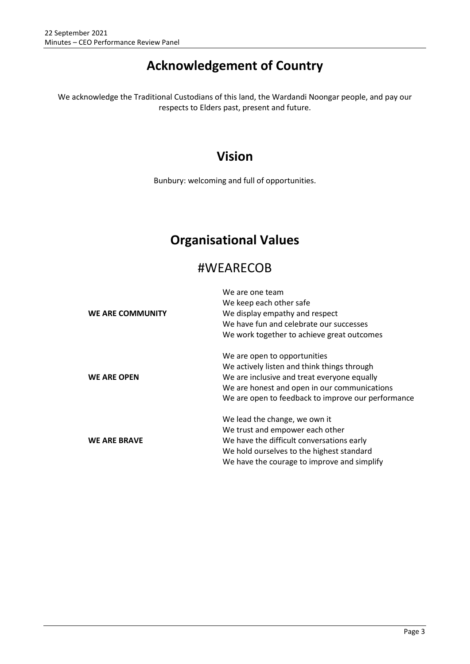# **Acknowledgement of Country**

We acknowledge the Traditional Custodians of this land, the Wardandi Noongar people, and pay our respects to Elders past, present and future.

# **Vision**

Bunbury: welcoming and full of opportunities.

# **Organisational Values**

# #WEARECOB

|                         | We are one team                                    |
|-------------------------|----------------------------------------------------|
|                         | We keep each other safe                            |
| <b>WE ARE COMMUNITY</b> | We display empathy and respect                     |
|                         | We have fun and celebrate our successes            |
|                         | We work together to achieve great outcomes         |
|                         | We are open to opportunities                       |
|                         | We actively listen and think things through        |
| <b>WE ARE OPEN</b>      | We are inclusive and treat everyone equally        |
|                         | We are honest and open in our communications       |
|                         | We are open to feedback to improve our performance |
|                         | We lead the change, we own it                      |
|                         | We trust and empower each other                    |
| <b>WE ARE BRAVE</b>     | We have the difficult conversations early          |
|                         | We hold ourselves to the highest standard          |
|                         | We have the courage to improve and simplify        |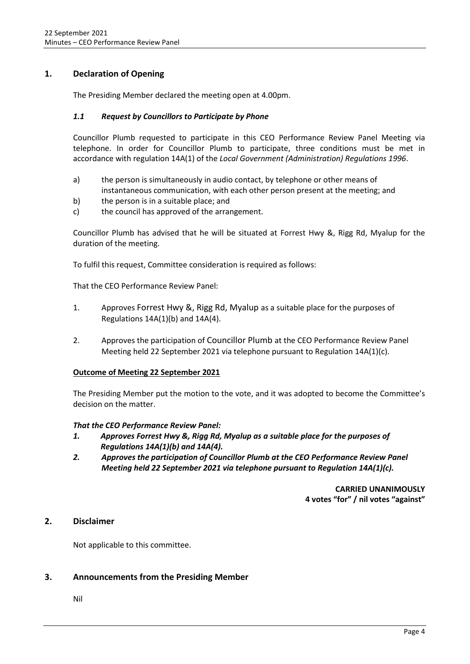## <span id="page-3-0"></span>**1. Declaration of Opening**

The Presiding Member declared the meeting open at 4.00pm.

### <span id="page-3-1"></span>*1.1 Request by Councillors to Participate by Phone*

Councillor Plumb requested to participate in this CEO Performance Review Panel Meeting via telephone. In order for Councillor Plumb to participate, three conditions must be met in accordance with regulation 14A(1) of the *Local Government (Administration) Regulations 1996*.

- a) the person is simultaneously in audio contact, by telephone or other means of instantaneous communication, with each other person present at the meeting; and
- b) the person is in a suitable place; and
- c) the council has approved of the arrangement.

Councillor Plumb has advised that he will be situated at Forrest Hwy &, Rigg Rd, Myalup for the duration of the meeting.

To fulfil this request, Committee consideration is required as follows:

That the CEO Performance Review Panel:

- 1. Approves Forrest Hwy &, Rigg Rd, Myalup as a suitable place for the purposes of Regulations  $14A(1)(b)$  and  $14A(4)$ .
- 2. Approves the participation of Councillor Plumb at the CEO Performance Review Panel Meeting held 22 September 2021 via telephone pursuant to Regulation 14A(1)(c).

### **Outcome of Meeting 22 September 2021**

The Presiding Member put the motion to the vote, and it was adopted to become the Committee's decision on the matter.

### *That the CEO Performance Review Panel:*

- *1. Approves Forrest Hwy &, Rigg Rd, Myalup as a suitable place for the purposes of Regulations 14A(1)(b) and 14A(4).*
- *2. Approves the participation of Councillor Plumb at the CEO Performance Review Panel Meeting held 22 September 2021 via telephone pursuant to Regulation 14A(1)(c).*

**CARRIED UNANIMOUSLY 4 votes "for" / nil votes "against"**

## <span id="page-3-2"></span>**2. Disclaimer**

Not applicable to this committee.

## <span id="page-3-3"></span>**3. Announcements from the Presiding Member**

Nil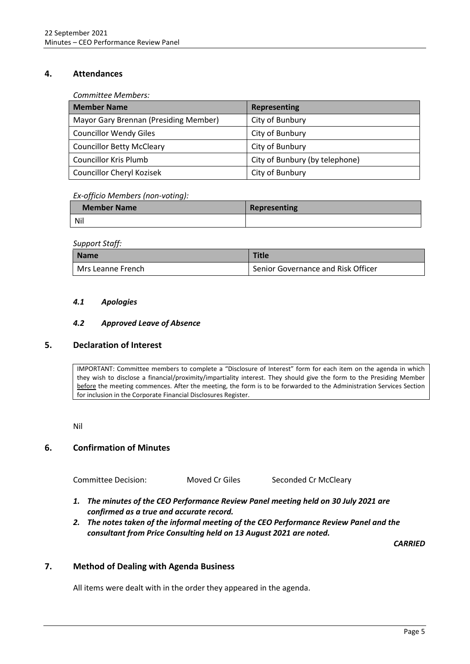## <span id="page-4-0"></span>**4. Attendances**

*Committee Members:*

| <b>Member Name</b>                    | Representing                   |
|---------------------------------------|--------------------------------|
| Mayor Gary Brennan (Presiding Member) | City of Bunbury                |
| <b>Councillor Wendy Giles</b>         | City of Bunbury                |
| <b>Councillor Betty McCleary</b>      | City of Bunbury                |
| <b>Councillor Kris Plumb</b>          | City of Bunbury (by telephone) |
| <b>Councillor Cheryl Kozisek</b>      | City of Bunbury                |

### *Ex-officio Members (non-voting):*

| <b>Member Name</b> | Representing |
|--------------------|--------------|
| <b>Nil</b>         |              |

#### *Support Staff:*

| Name              | <b>Title</b>                       |
|-------------------|------------------------------------|
| Mrs Leanne French | Senior Governance and Risk Officer |

### <span id="page-4-1"></span>*4.1 Apologies*

### *4.2 Approved Leave of Absence*

## <span id="page-4-3"></span><span id="page-4-2"></span>**5. Declaration of Interest**

IMPORTANT: Committee members to complete a "Disclosure of Interest" form for each item on the agenda in which they wish to disclose a financial/proximity/impartiality interest. They should give the form to the Presiding Member before the meeting commences. After the meeting, the form is to be forwarded to the Administration Services Section for inclusion in the Corporate Financial Disclosures Register.

Nil

## <span id="page-4-4"></span>**6. Confirmation of Minutes**

Committee Decision: Moved Cr Giles Seconded Cr McCleary

- *1. The minutes of the CEO Performance Review Panel meeting held on 30 July 2021 are confirmed as a true and accurate record.*
- *2. The notes taken of the informal meeting of the CEO Performance Review Panel and the consultant from Price Consulting held on 13 August 2021 are noted.*

*CARRIED*

# <span id="page-4-5"></span>**7. Method of Dealing with Agenda Business**

All items were dealt with in the order they appeared in the agenda.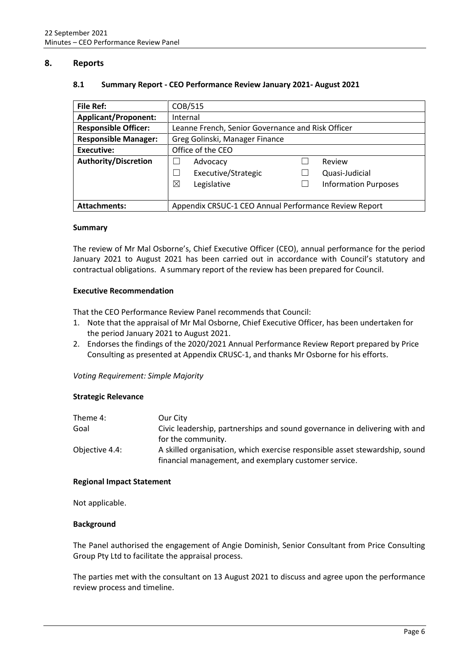### <span id="page-5-1"></span><span id="page-5-0"></span>**8. Reports**

#### **8.1 Summary Report - CEO Performance Review January 2021- August 2021**

| File Ref:                   | COB/515                                               |                             |  |
|-----------------------------|-------------------------------------------------------|-----------------------------|--|
| <b>Applicant/Proponent:</b> | Internal                                              |                             |  |
| <b>Responsible Officer:</b> | Leanne French, Senior Governance and Risk Officer     |                             |  |
| <b>Responsible Manager:</b> | Greg Golinski, Manager Finance                        |                             |  |
| Executive:                  | Office of the CEO                                     |                             |  |
| <b>Authority/Discretion</b> | Advocacy                                              | Review                      |  |
|                             | Executive/Strategic                                   | Quasi-Judicial              |  |
|                             | ⊠<br>Legislative                                      | <b>Information Purposes</b> |  |
|                             |                                                       |                             |  |
| <b>Attachments:</b>         | Appendix CRSUC-1 CEO Annual Performance Review Report |                             |  |

#### **Summary**

The review of Mr Mal Osborne's, Chief Executive Officer (CEO), annual performance for the period January 2021 to August 2021 has been carried out in accordance with Council's statutory and contractual obligations. A summary report of the review has been prepared for Council.

#### **Executive Recommendation**

That the CEO Performance Review Panel recommends that Council:

- 1. Note that the appraisal of Mr Mal Osborne, Chief Executive Officer, has been undertaken for the period January 2021 to August 2021.
- 2. Endorses the findings of the 2020/2021 Annual Performance Review Report prepared by Price Consulting as presented at Appendix CRUSC-1, and thanks Mr Osborne for his efforts.

### *Voting Requirement: Simple Majority*

### **Strategic Relevance**

| Theme 4:       | Our City                                                                    |
|----------------|-----------------------------------------------------------------------------|
| Goal           | Civic leadership, partnerships and sound governance in delivering with and  |
|                | for the community.                                                          |
| Objective 4.4: | A skilled organisation, which exercise responsible asset stewardship, sound |
|                | financial management, and exemplary customer service.                       |

### **Regional Impact Statement**

Not applicable.

### **Background**

The Panel authorised the engagement of Angie Dominish, Senior Consultant from Price Consulting Group Pty Ltd to facilitate the appraisal process.

The parties met with the consultant on 13 August 2021 to discuss and agree upon the performance review process and timeline.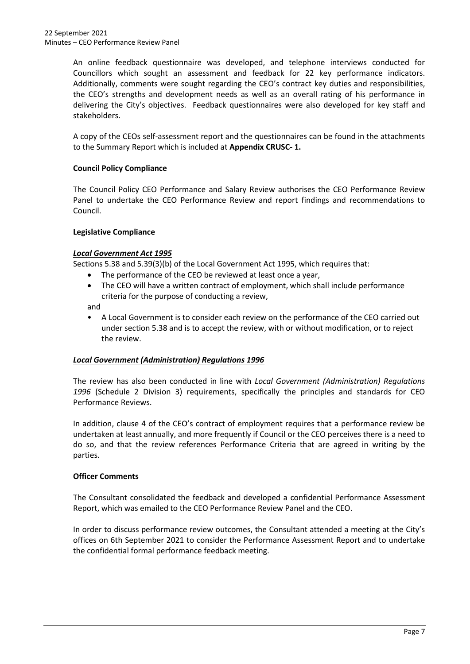An online feedback questionnaire was developed, and telephone interviews conducted for Councillors which sought an assessment and feedback for 22 key performance indicators. Additionally, comments were sought regarding the CEO's contract key duties and responsibilities, the CEO's strengths and development needs as well as an overall rating of his performance in delivering the City's objectives. Feedback questionnaires were also developed for key staff and stakeholders.

A copy of the CEOs self-assessment report and the questionnaires can be found in the attachments to the Summary Report which is included at **Appendix CRUSC- 1.**

## **Council Policy Compliance**

The Council Policy CEO Performance and Salary Review authorises the CEO Performance Review Panel to undertake the CEO Performance Review and report findings and recommendations to Council.

### **Legislative Compliance**

### *Local Government Act 1995*

Sections 5.38 and 5.39(3)(b) of the Local Government Act 1995, which requires that:

- The performance of the CEO be reviewed at least once a year,
- The CEO will have a written contract of employment, which shall include performance criteria for the purpose of conducting a review,

and

• A Local Government is to consider each review on the performance of the CEO carried out under section 5.38 and is to accept the review, with or without modification, or to reject the review.

### *Local Government (Administration) Regulations 1996*

The review has also been conducted in line with *Local Government (Administration) Regulations 1996* (Schedule 2 Division 3) requirements, specifically the principles and standards for CEO Performance Reviews.

In addition, clause 4 of the CEO's contract of employment requires that a performance review be undertaken at least annually, and more frequently if Council or the CEO perceives there is a need to do so, and that the review references Performance Criteria that are agreed in writing by the parties.

### **Officer Comments**

The Consultant consolidated the feedback and developed a confidential Performance Assessment Report, which was emailed to the CEO Performance Review Panel and the CEO.

In order to discuss performance review outcomes, the Consultant attended a meeting at the City's offices on 6th September 2021 to consider the Performance Assessment Report and to undertake the confidential formal performance feedback meeting.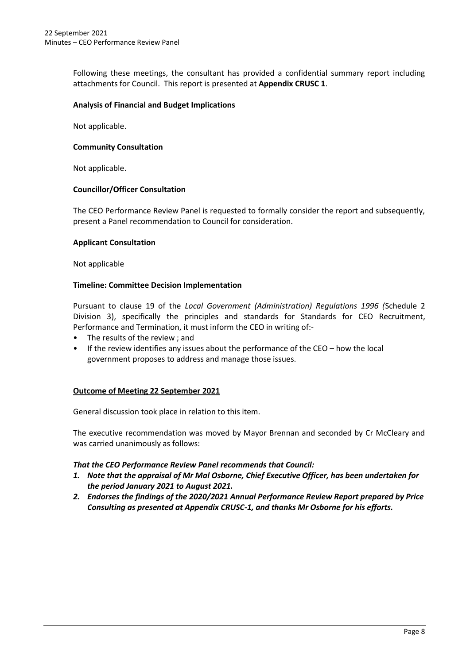Following these meetings, the consultant has provided a confidential summary report including attachments for Council. This report is presented at **Appendix CRUSC 1**.

### **Analysis of Financial and Budget Implications**

Not applicable.

### **Community Consultation**

Not applicable.

### **Councillor/Officer Consultation**

The CEO Performance Review Panel is requested to formally consider the report and subsequently, present a Panel recommendation to Council for consideration.

### **Applicant Consultation**

Not applicable

### **Timeline: Committee Decision Implementation**

Pursuant to clause 19 of the *Local Government (Administration) Regulations 1996 (*Schedule 2 Division 3), specifically the principles and standards for Standards for CEO Recruitment, Performance and Termination, it must inform the CEO in writing of:-

- The results of the review ; and
- If the review identifies any issues about the performance of the  $CEO -$  how the local government proposes to address and manage those issues.

### **Outcome of Meeting 22 September 2021**

General discussion took place in relation to this item.

The executive recommendation was moved by Mayor Brennan and seconded by Cr McCleary and was carried unanimously as follows:

### *That the CEO Performance Review Panel recommends that Council:*

- *1. Note that the appraisal of Mr Mal Osborne, Chief Executive Officer, has been undertaken for the period January 2021 to August 2021.*
- *2. Endorses the findings of the 2020/2021 Annual Performance Review Report prepared by Price Consulting as presented at Appendix CRUSC-1, and thanks Mr Osborne for his efforts.*